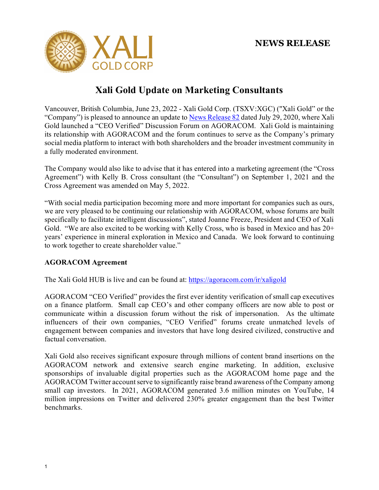

# **Xali Gold Update on Marketing Consultants**

Vancouver, British Columbia, June 23, 2022 - Xali Gold Corp. (TSXV:XGC) ("Xali Gold" or the "Company") is pleased to announce an update to [News Release 82](https://xaligold.com/news-releases/candente-gold-corp-launches-agoracom-online-marke-2626/) dated July 29, 2020, where Xali Gold launched a "CEO Verified" Discussion Forum on AGORACOM. Xali Gold is maintaining its relationship with AGORACOM and the forum continues to serve as the Company's primary social media platform to interact with both shareholders and the broader investment community in a fully moderated environment.

The Company would also like to advise that it has entered into a marketing agreement (the "Cross Agreement") with Kelly B. Cross consultant (the "Consultant") on September 1, 2021 and the Cross Agreement was amended on May 5, 2022.

"With social media participation becoming more and more important for companies such as ours, we are very pleased to be continuing our relationship with AGORACOM, whose forums are built specifically to facilitate intelligent discussions", stated Joanne Freeze, President and CEO of Xali Gold. "We are also excited to be working with Kelly Cross, who is based in Mexico and has 20+ years' experience in mineral exploration in Mexico and Canada. We look forward to continuing to work together to create shareholder value."

# **AGORACOM Agreement**

The Xali Gold HUB is live and can be found at:<https://agoracom.com/ir/xaligold>

AGORACOM "CEO Verified" provides the first ever identity verification of small cap executives on a finance platform. Small cap CEO's and other company officers are now able to post or communicate within a discussion forum without the risk of impersonation. As the ultimate influencers of their own companies, "CEO Verified" forums create unmatched levels of engagement between companies and investors that have long desired civilized, constructive and factual conversation.

Xali Gold also receives significant exposure through millions of content brand insertions on the AGORACOM network and extensive search engine marketing. In addition, exclusive sponsorships of invaluable digital properties such as the AGORACOM home page and the AGORACOM Twitter account serve to significantly raise brand awareness of the Company among small cap investors. In 2021, AGORACOM generated 3.6 million minutes on YouTube, 14 million impressions on Twitter and delivered 230% greater engagement than the best Twitter benchmarks.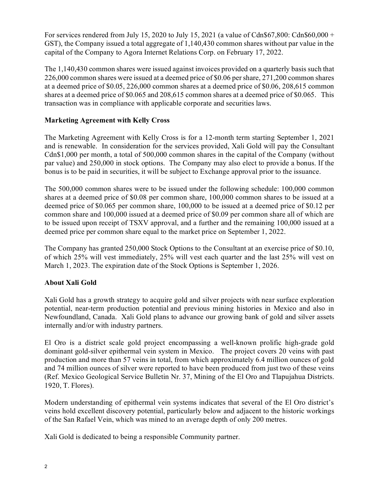For services rendered from July 15, 2020 to July 15, 2021 (a value of  $Cdn$67,800: Cdn$60,000 +$ GST), the Company issued a total aggregate of 1,140,430 common shares without par value in the capital of the Company to Agora Internet Relations Corp. on February 17, 2022.

The 1,140,430 common shares were issued against invoices provided on a quarterly basis such that 226,000 common shares were issued at a deemed price of \$0.06 per share, 271,200 common shares at a deemed price of \$0.05, 226,000 common shares at a deemed price of \$0.06, 208,615 common shares at a deemed price of \$0.065 and 208,615 common shares at a deemed price of \$0.065. This transaction was in compliance with applicable corporate and securities laws.

# **Marketing Agreement with Kelly Cross**

The Marketing Agreement with Kelly Cross is for a 12-month term starting September 1, 2021 and is renewable. In consideration for the services provided, Xali Gold will pay the Consultant Cdn\$1,000 per month, a total of 500,000 common shares in the capital of the Company (without par value) and 250,000 in stock options. The Company may also elect to provide a bonus. If the bonus is to be paid in securities, it will be subject to Exchange approval prior to the issuance.

The 500,000 common shares were to be issued under the following schedule: 100,000 common shares at a deemed price of \$0.08 per common share, 100,000 common shares to be issued at a deemed price of \$0.065 per common share, 100,000 to be issued at a deemed price of \$0.12 per common share and 100,000 issued at a deemed price of \$0.09 per common share all of which are to be issued upon receipt of TSXV approval, and a further and the remaining 100,000 issued at a deemed price per common share equal to the market price on September 1, 2022.

The Company has granted 250,000 Stock Options to the Consultant at an exercise price of \$0.10, of which 25% will vest immediately, 25% will vest each quarter and the last 25% will vest on March 1, 2023. The expiration date of the Stock Options is September 1, 2026.

### **About Xali Gold**

Xali Gold has a growth strategy to acquire gold and silver projects with near surface exploration potential, near-term production potential and previous mining histories in Mexico and also in Newfoundland, Canada. Xali Gold plans to advance our growing bank of gold and silver assets internally and/or with industry partners.

El Oro is a district scale gold project encompassing a well-known prolific high-grade gold dominant gold-silver epithermal vein system in Mexico. The project covers 20 veins with past production and more than 57 veins in total, from which approximately 6.4 million ounces of gold and 74 million ounces of silver were reported to have been produced from just two of these veins (Ref. Mexico Geological Service Bulletin Nr. 37, Mining of the El Oro and Tlapujahua Districts. 1920, T. Flores).

Modern understanding of epithermal vein systems indicates that several of the El Oro district's veins hold excellent discovery potential, particularly below and adjacent to the historic workings of the San Rafael Vein, which was mined to an average depth of only 200 metres.

Xali Gold is dedicated to being a responsible Community partner.